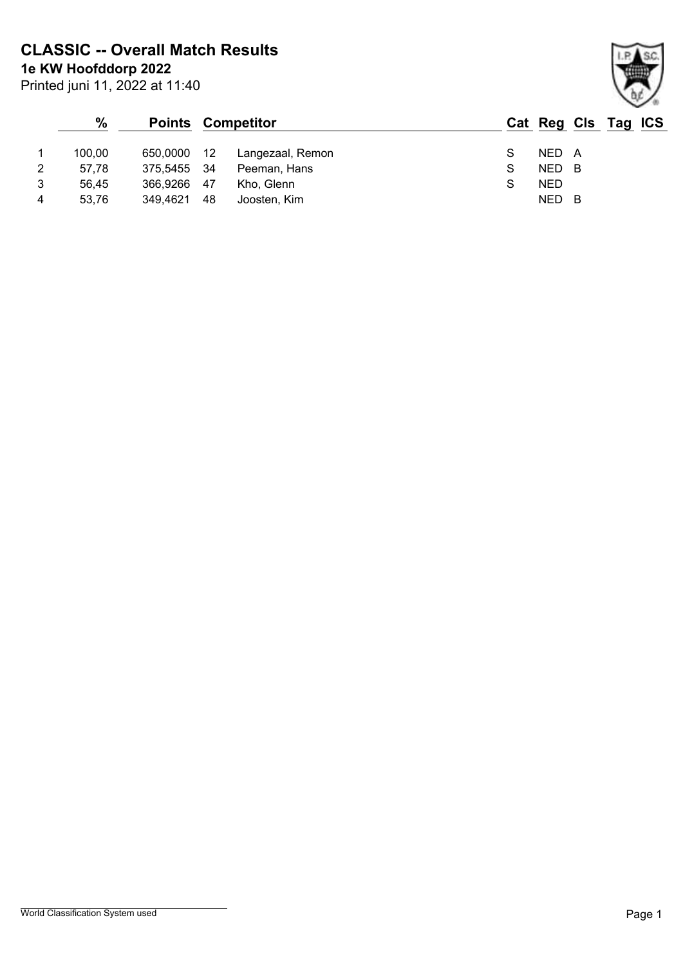**1e KW Hoofddorp 2022 CLASSIC -- Overall Match Results**

| Printed juni 11, 2022 at 11:40 |  |  |  |
|--------------------------------|--|--|--|

### **% Points Competitor Cat Reg Cls Tag ICS** 1 100,00 650,0000 12 Langezaal, Remon S NED A 2 57,78 375,5455 34 Peeman, Hans S NED B 3 56,45 366,9266 47 Kho, Glenn S S NED 4 53,76 349,4621 48 Joosten, Kim **NED B**

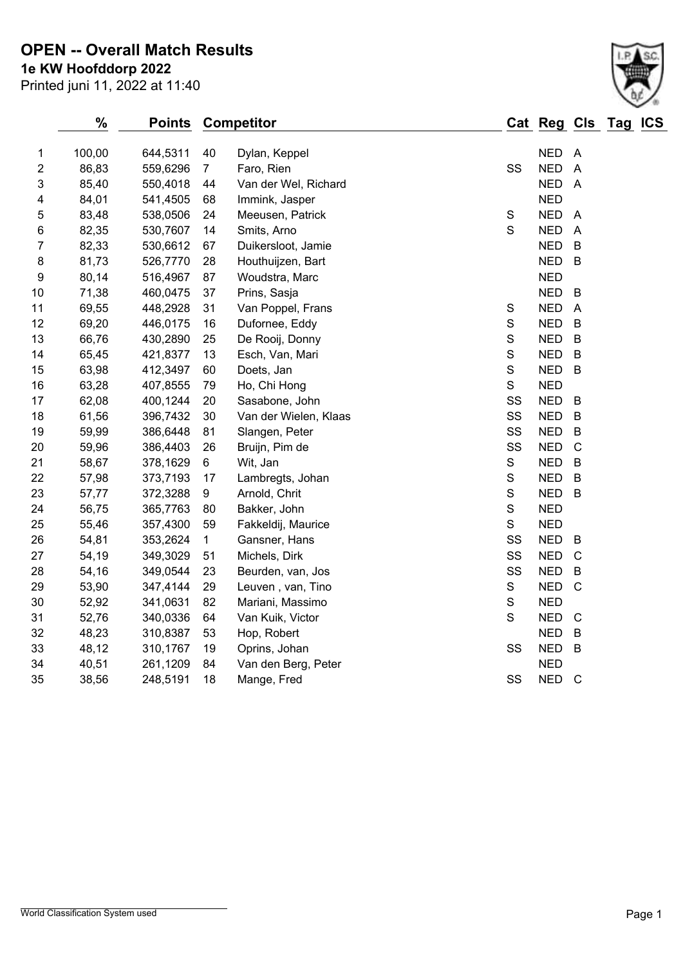### **1e KW Hoofddorp 2022 OPEN -- Overall Match Results**

| Printed juni 11, 2022 at 11:40 |  |  |  |  |  |  |
|--------------------------------|--|--|--|--|--|--|
|--------------------------------|--|--|--|--|--|--|

|                  | $\%$   | <b>Points</b> |                | <b>Competitor</b>     |               | Cat Reg Cls Tag ICS |                |  |
|------------------|--------|---------------|----------------|-----------------------|---------------|---------------------|----------------|--|
| $\mathbf{1}$     | 100,00 | 644,5311      | 40             | Dylan, Keppel         |               | <b>NED</b>          | $\overline{A}$ |  |
| $\sqrt{2}$       | 86,83  | 559,6296      | $\overline{7}$ | Faro, Rien            | SS            | <b>NED</b>          | $\overline{A}$ |  |
| 3                | 85,40  | 550,4018      | 44             | Van der Wel, Richard  |               | <b>NED</b>          | $\overline{A}$ |  |
| 4                | 84,01  | 541,4505      | 68             | Immink, Jasper        |               | <b>NED</b>          |                |  |
| 5                | 83,48  | 538,0506      | 24             | Meeusen, Patrick      | S             | <b>NED</b>          | $\overline{A}$ |  |
| 6                | 82,35  | 530,7607      | 14             | Smits, Arno           | S             | <b>NED</b>          | $\mathsf{A}$   |  |
| $\boldsymbol{7}$ | 82,33  | 530,6612      | 67             | Duikersloot, Jamie    |               | <b>NED</b>          | B              |  |
| 8                | 81,73  | 526,7770      | 28             | Houthuijzen, Bart     |               | <b>NED</b>          | B              |  |
| 9                | 80,14  | 516,4967      | 87             | Woudstra, Marc        |               | <b>NED</b>          |                |  |
| 10               | 71,38  | 460,0475      | 37             | Prins, Sasja          |               | <b>NED</b>          | B              |  |
| 11               | 69,55  | 448,2928      | 31             | Van Poppel, Frans     | S             | <b>NED</b>          | $\overline{A}$ |  |
| 12               | 69,20  | 446,0175      | 16             | Dufornee, Eddy        | ${\mathsf S}$ | <b>NED</b>          | B              |  |
| 13               | 66,76  | 430,2890      | 25             | De Rooij, Donny       | ${\mathsf S}$ | <b>NED</b>          | $\, {\bf B}$   |  |
| 14               | 65,45  | 421,8377      | 13             | Esch, Van, Mari       | $\mathsf S$   | <b>NED</b>          | $\, {\bf B}$   |  |
| 15               | 63,98  | 412,3497      | 60             | Doets, Jan            | ${\mathsf S}$ | <b>NED</b>          | $\mathsf B$    |  |
| 16               | 63,28  | 407,8555      | 79             | Ho, Chi Hong          | $\mathbf S$   | <b>NED</b>          |                |  |
| 17               | 62,08  | 400,1244      | 20             | Sasabone, John        | SS            | <b>NED</b>          | $\mathsf B$    |  |
| 18               | 61,56  | 396,7432      | 30             | Van der Wielen, Klaas | SS            | <b>NED</b>          | $\mathsf B$    |  |
| 19               | 59,99  | 386,6448      | 81             | Slangen, Peter        | SS            | <b>NED</b>          | $\mathsf B$    |  |
| 20               | 59,96  | 386,4403      | 26             | Bruijn, Pim de        | SS            | <b>NED</b>          | $\mathsf C$    |  |
| 21               | 58,67  | 378,1629      | 6              | Wit, Jan              | $\mathbf S$   | <b>NED</b>          | $\mathsf B$    |  |
| 22               | 57,98  | 373,7193      | 17             | Lambregts, Johan      | $\mathsf S$   | <b>NED</b>          | $\mathsf B$    |  |
| 23               | 57,77  | 372,3288      | 9              | Arnold, Chrit         | ${\mathsf S}$ | <b>NED</b>          | $\mathsf B$    |  |
| 24               | 56,75  | 365,7763      | 80             | Bakker, John          | $\mathsf S$   | <b>NED</b>          |                |  |
| 25               | 55,46  | 357,4300      | 59             | Fakkeldij, Maurice    | S             | <b>NED</b>          |                |  |
| 26               | 54,81  | 353,2624      | $\mathbf{1}$   | Gansner, Hans         | SS            | <b>NED</b>          | B              |  |
| 27               | 54,19  | 349,3029      | 51             | Michels, Dirk         | SS            | <b>NED</b>          | $\mathsf{C}$   |  |
| 28               | 54,16  | 349,0544      | 23             | Beurden, van, Jos     | SS            | <b>NED</b>          | $\, {\bf B}$   |  |
| 29               | 53,90  | 347,4144      | 29             | Leuven, van, Tino     | $\mathsf S$   | <b>NED</b>          | $\mathsf{C}$   |  |
| 30               | 52,92  | 341,0631      | 82             | Mariani, Massimo      | $\mathbf S$   | <b>NED</b>          |                |  |
| 31               | 52,76  | 340,0336      | 64             | Van Kuik, Victor      | S             | <b>NED</b>          | $\mathsf{C}$   |  |
| 32               | 48,23  | 310,8387      | 53             | Hop, Robert           |               | <b>NED</b>          | $\mathsf B$    |  |
| 33               | 48,12  | 310,1767      | 19             | Oprins, Johan         | SS            | <b>NED</b>          | $\overline{B}$ |  |
| 34               | 40,51  | 261,1209      | 84             | Van den Berg, Peter   |               | <b>NED</b>          |                |  |
| 35               | 38,56  | 248,5191      | 18             | Mange, Fred           | SS            | <b>NED</b>          | $\mathsf{C}$   |  |

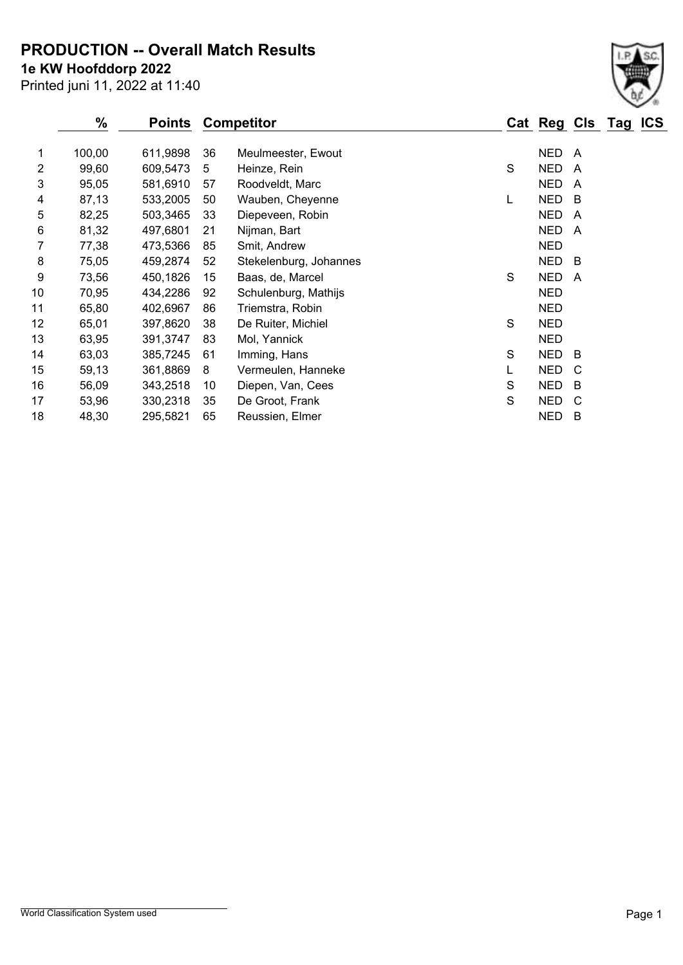**PRODUCTION -- Overall Match Results**

**1e KW Hoofddorp 2022**

Printed juni 11, 2022 at 11:40

|    | %      | Points   |    | <b>Competitor</b>      |   | Cat Reg Cls Tag ICS |                |  |
|----|--------|----------|----|------------------------|---|---------------------|----------------|--|
|    | 100,00 | 611,9898 | 36 | Meulmeester, Ewout     |   | <b>NED</b>          | $\overline{A}$ |  |
| 2  | 99,60  | 609,5473 | 5  | Heinze, Rein           | S | <b>NED</b>          | A              |  |
| 3  | 95,05  | 581,6910 | 57 | Roodveldt, Marc        |   | <b>NED</b>          | $\overline{A}$ |  |
| 4  | 87,13  | 533,2005 | 50 | Wauben, Cheyenne       | L | <b>NED</b>          | B              |  |
| 5  | 82,25  | 503,3465 | 33 | Diepeveen, Robin       |   | <b>NED</b>          | A              |  |
| 6  | 81,32  | 497,6801 | 21 | Nijman, Bart           |   | <b>NED</b>          | $\overline{A}$ |  |
| 7  | 77,38  | 473,5366 | 85 | Smit, Andrew           |   | <b>NED</b>          |                |  |
| 8  | 75,05  | 459,2874 | 52 | Stekelenburg, Johannes |   | <b>NED</b>          | B              |  |
| 9  | 73,56  | 450,1826 | 15 | Baas, de, Marcel       | S | <b>NED</b>          | A              |  |
| 10 | 70,95  | 434,2286 | 92 | Schulenburg, Mathijs   |   | <b>NED</b>          |                |  |
| 11 | 65,80  | 402,6967 | 86 | Triemstra, Robin       |   | <b>NED</b>          |                |  |
| 12 | 65,01  | 397,8620 | 38 | De Ruiter, Michiel     | S | <b>NED</b>          |                |  |
| 13 | 63,95  | 391,3747 | 83 | Mol, Yannick           |   | <b>NED</b>          |                |  |
| 14 | 63,03  | 385,7245 | 61 | Imming, Hans           | S | <b>NED</b>          | B              |  |
| 15 | 59,13  | 361,8869 | 8  | Vermeulen, Hanneke     |   | NED.                | C              |  |
| 16 | 56,09  | 343,2518 | 10 | Diepen, Van, Cees      | S | <b>NED</b>          | B              |  |
| 17 | 53,96  | 330,2318 | 35 | De Groot, Frank        | S | <b>NED</b>          | C              |  |
| 18 | 48,30  | 295,5821 | 65 | Reussien, Elmer        |   | <b>NED</b>          | B              |  |

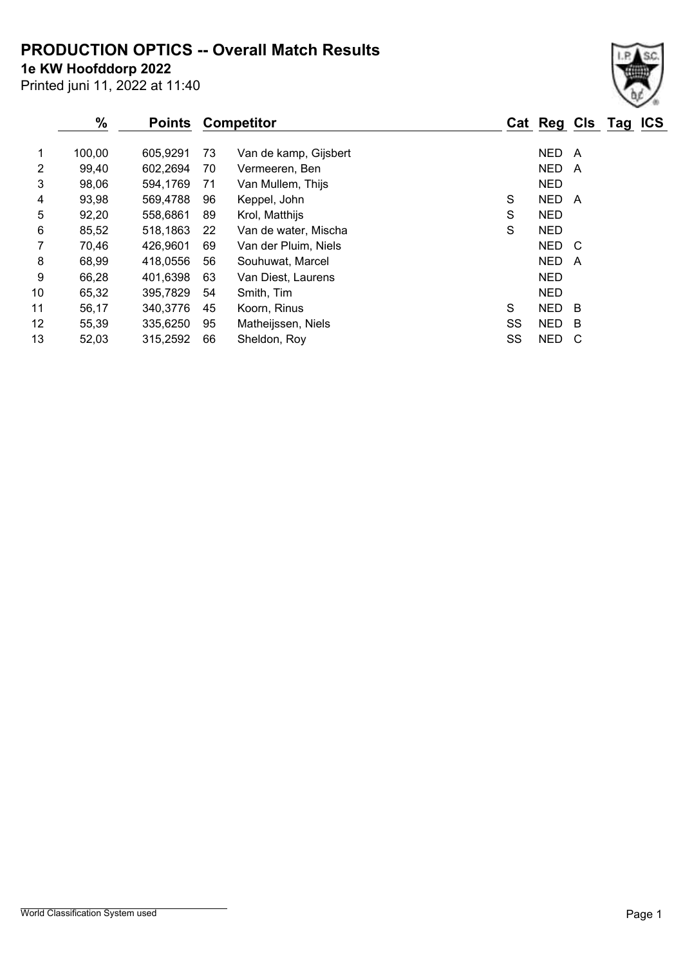### **PRODUCTION OPTICS -- Overall Match Results**

**1e KW Hoofddorp 2022**

Printed juni 11, 2022 at 11:40

#### **% Points Competitor Cat Reg Cls Tag ICS** 1 100,00 605,9291 73 Van de kamp, Gijsbert NED A 2 99,40 602,2694 70 Vermeeren, Ben 1986 1999 199,40 NED A 3 98,06 594,1769 71 Van Mullem, Thijs NED 4 93,98 569,4788 96 Keppel, John S NED A 5 92,20 558,6861 89 Krol, Matthijs S S NED 6 85,52 518,1863 22 Van de water, Mischa S NED 7 70,46 426,9601 69 Van der Pluim, Niels New York NED C 8 68,99 418,0556 56 Souhuwat, Marcel 1988 1991 10:00 A 9 66,28 401,6398 63 Van Diest, Laurens NED 10 65,32 395,7829 54 Smith, Tim 200 10 10 10 10 NED

| 11              | 56.17 |  | 340,3776 45 Koorn, Rinus       | S.  | NED B |  |
|-----------------|-------|--|--------------------------------|-----|-------|--|
| 12 <sup>2</sup> | 55.39 |  | 335,6250 95 Matheijssen, Niels | SS. | NED B |  |
| 13              | 52.03 |  | 315,2592 66 Sheldon, Roy       | SS. | NED C |  |
|                 |       |  |                                |     |       |  |

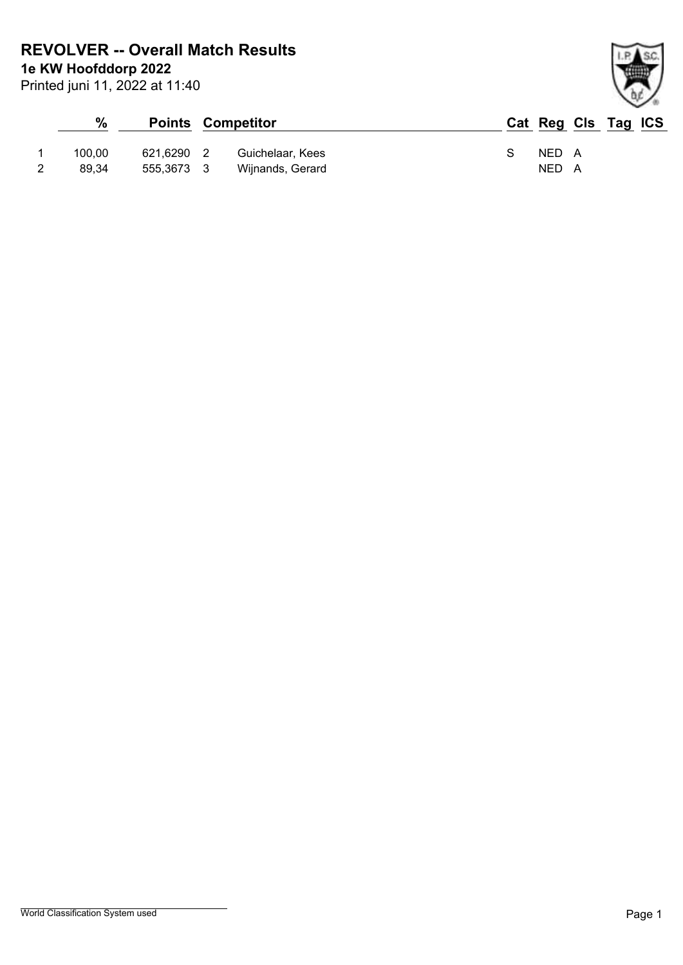**1e KW Hoofddorp 2022 REVOLVER -- Overall Match Results**

Printed juni 11, 2022 at 11:40

# **% Points Competitor Cat Reg Cls Tag ICS** 1 100,00 621,6290 2 Guichelaar, Kees S NED A 2 89,34 555,3673 3 Wijnands, Gerard NED A

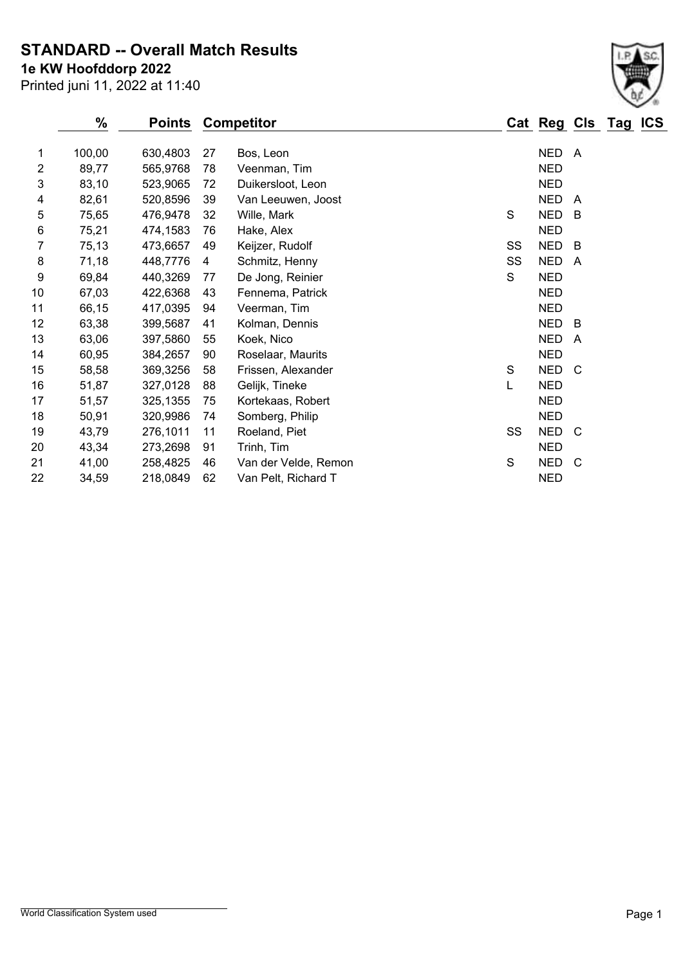**STANDARD -- Overall Match Results**

Printed juni 11, 2022 at 11:40 **1e KW Hoofddorp 2022**

|                | $\%$   | <b>Points</b> |    | <b>Competitor</b>    |             | Cat Reg Cls Tag ICS |     |  |
|----------------|--------|---------------|----|----------------------|-------------|---------------------|-----|--|
| 1              | 100,00 | 630,4803      | 27 | Bos, Leon            |             | NED A               |     |  |
| $\overline{2}$ | 89,77  | 565,9768      | 78 | Veenman, Tim         |             | <b>NED</b>          |     |  |
| 3              | 83,10  | 523,9065      | 72 | Duikersloot, Leon    |             | <b>NED</b>          |     |  |
| 4              | 82,61  | 520,8596      | 39 | Van Leeuwen, Joost   |             | <b>NED</b>          | A   |  |
| 5              | 75,65  | 476,9478      | 32 | Wille, Mark          | S           | <b>NED</b>          | B   |  |
| $\,6$          | 75,21  | 474,1583      | 76 | Hake, Alex           |             | <b>NED</b>          |     |  |
| 7              | 75,13  | 473,6657      | 49 | Keijzer, Rudolf      | SS          | <b>NED</b>          | B   |  |
| 8              | 71,18  | 448,7776      | 4  | Schmitz, Henny       | SS          | <b>NED</b>          | A   |  |
| 9              | 69,84  | 440,3269      | 77 | De Jong, Reinier     | S           | <b>NED</b>          |     |  |
| 10             | 67,03  | 422,6368      | 43 | Fennema, Patrick     |             | <b>NED</b>          |     |  |
| 11             | 66,15  | 417,0395      | 94 | Veerman, Tim         |             | <b>NED</b>          |     |  |
| 12             | 63,38  | 399,5687      | 41 | Kolman, Dennis       |             | <b>NED</b>          | B   |  |
| 13             | 63,06  | 397,5860      | 55 | Koek, Nico           |             | <b>NED</b>          | A   |  |
| 14             | 60,95  | 384,2657      | 90 | Roselaar, Maurits    |             | <b>NED</b>          |     |  |
| 15             | 58,58  | 369,3256      | 58 | Frissen, Alexander   | S           | <b>NED</b>          | - C |  |
| 16             | 51,87  | 327,0128      | 88 | Gelijk, Tineke       | L           | <b>NED</b>          |     |  |
| 17             | 51,57  | 325,1355      | 75 | Kortekaas, Robert    |             | <b>NED</b>          |     |  |
| 18             | 50,91  | 320,9986      | 74 | Somberg, Philip      |             | <b>NED</b>          |     |  |
| 19             | 43,79  | 276,1011      | 11 | Roeland, Piet        | SS          | <b>NED</b>          | C   |  |
| 20             | 43,34  | 273,2698      | 91 | Trinh, Tim           |             | <b>NED</b>          |     |  |
| 21             | 41,00  | 258,4825      | 46 | Van der Velde, Remon | $\mathsf S$ | <b>NED</b>          | C   |  |
| 22             | 34,59  | 218,0849      | 62 | Van Pelt, Richard T  |             | <b>NED</b>          |     |  |
|                |        |               |    |                      |             |                     |     |  |